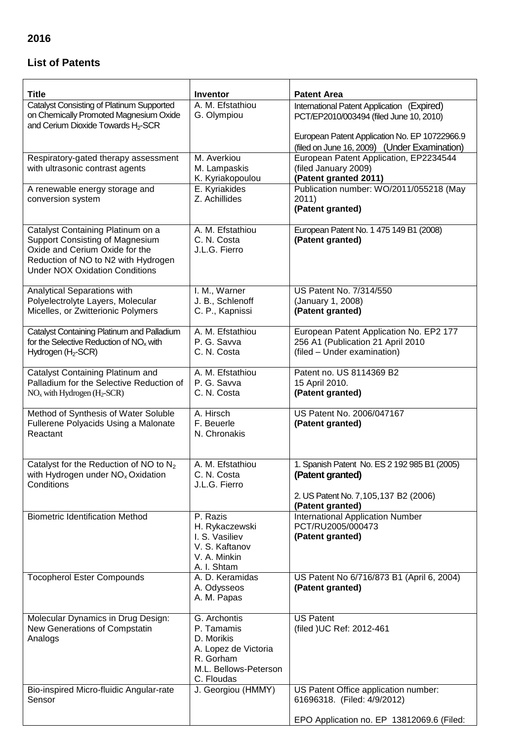## **List of Patents**

| <b>Title</b>                                                                                                                                                                                  | <b>Inventor</b>                                                                                                      | <b>Patent Area</b>                                                                                                                      |
|-----------------------------------------------------------------------------------------------------------------------------------------------------------------------------------------------|----------------------------------------------------------------------------------------------------------------------|-----------------------------------------------------------------------------------------------------------------------------------------|
| <b>Catalyst Consisting of Platinum Supported</b><br>on Chemically Promoted Magnesium Oxide<br>and Cerium Dioxide Towards H <sub>2</sub> -SCR                                                  | A. M. Efstathiou<br>G. Olympiou                                                                                      | International Patent Application (Expired)<br>PCT/EP2010/003494 (filed June 10, 2010)<br>European Patent Application No. EP 10722966.9  |
| Respiratory-gated therapy assessment<br>with ultrasonic contrast agents                                                                                                                       | M. Averkiou<br>M. Lampaskis<br>K. Kyriakopoulou                                                                      | (filed on June 16, 2009) (Under Examination)<br>European Patent Application, EP2234544<br>(filed January 2009)<br>(Patent granted 2011) |
| A renewable energy storage and<br>conversion system                                                                                                                                           | E. Kyriakides<br>Z. Achillides                                                                                       | Publication number: WO/2011/055218 (May<br>2011)<br>(Patent granted)                                                                    |
| Catalyst Containing Platinum on a<br><b>Support Consisting of Magnesium</b><br>Oxide and Cerium Oxide for the<br>Reduction of NO to N2 with Hydrogen<br><b>Under NOX Oxidation Conditions</b> | A. M. Efstathiou<br>C. N. Costa<br>J.L.G. Fierro                                                                     | European Patent No. 1 475 149 B1 (2008)<br>(Patent granted)                                                                             |
| Analytical Separations with<br>Polyelectrolyte Layers, Molecular<br>Micelles, or Zwitterionic Polymers                                                                                        | I. M., Warner<br>J. B., Schlenoff<br>C. P., Kapnissi                                                                 | US Patent No. 7/314/550<br>(January 1, 2008)<br>(Patent granted)                                                                        |
| Catalyst Containing Platinum and Palladium<br>for the Selective Reduction of $NOx$ with<br>Hydrogen (H <sub>2</sub> -SCR)                                                                     | A. M. Efstathiou<br>P. G. Savva<br>C. N. Costa                                                                       | European Patent Application No. EP2 177<br>256 A1 (Publication 21 April 2010<br>(filed - Under examination)                             |
| Catalyst Containing Platinum and<br>Palladium for the Selective Reduction of<br>$NOx$ with Hydrogen (H <sub>2</sub> -SCR)                                                                     | A. M. Efstathiou<br>P. G. Savva<br>C. N. Costa                                                                       | Patent no. US 8114369 B2<br>15 April 2010.<br>(Patent granted)                                                                          |
| Method of Synthesis of Water Soluble<br>Fullerene Polyacids Using a Malonate<br>Reactant                                                                                                      | A. Hirsch<br>F. Beuerle<br>N. Chronakis                                                                              | US Patent No. 2006/047167<br>(Patent granted)                                                                                           |
| Catalyst for the Reduction of NO to $N_2$<br>with Hydrogen under NO <sub>x</sub> Oxidation<br>Conditions                                                                                      | A. M. Efstathiou<br>C. N. Costa<br>J.L.G. Fierro                                                                     | 1. Spanish Patent No. ES 2 192 985 B1 (2005)<br>(Patent granted)<br>2. US Patent No. 7, 105, 137 B2 (2006)<br>(Patent granted)          |
| <b>Biometric Identification Method</b>                                                                                                                                                        | P. Razis<br>H. Rykaczewski<br>I. S. Vasiliev<br>V. S. Kaftanov<br>V. A. Minkin<br>A. I. Shtam                        | <b>International Application Number</b><br>PCT/RU2005/000473<br>(Patent granted)                                                        |
| <b>Tocopherol Ester Compounds</b>                                                                                                                                                             | A. D. Keramidas<br>A. Odysseos<br>A. M. Papas                                                                        | US Patent No 6/716/873 B1 (April 6, 2004)<br>(Patent granted)                                                                           |
| Molecular Dynamics in Drug Design:<br>New Generations of Compstatin<br>Analogs                                                                                                                | G. Archontis<br>P. Tamamis<br>D. Morikis<br>A. Lopez de Victoria<br>R. Gorham<br>M.L. Bellows-Peterson<br>C. Floudas | <b>US Patent</b><br>(filed ) UC Ref: 2012-461                                                                                           |
| Bio-inspired Micro-fluidic Angular-rate<br>Sensor                                                                                                                                             | J. Georgiou (HMMY)                                                                                                   | US Patent Office application number:<br>61696318. (Filed: 4/9/2012)<br>EPO Application no. EP 13812069.6 (Filed:                        |